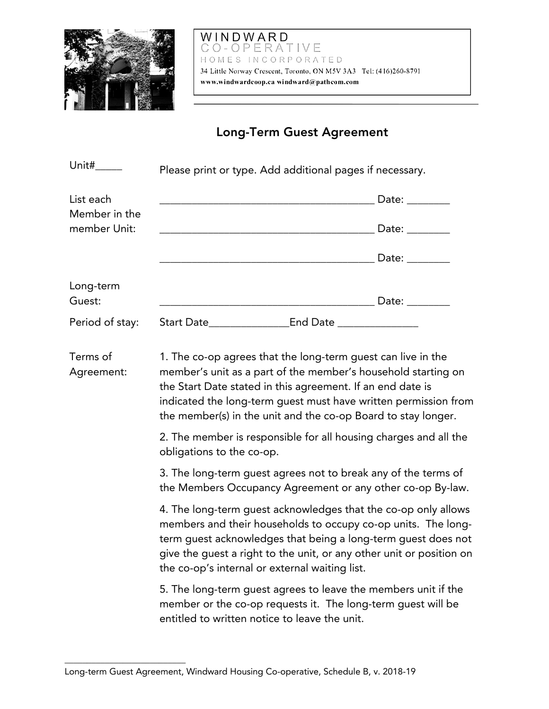

## WINDWARD<br>CO-OPERATIVE HOMES INCORPORATED 34 Little Norway Crescent, Toronto, ON M5V 3A3 Tel: (416)260-8791 www.windwardcoop.ca windward@pathcom.com

## Long-Term Guest Agreement

| Unit#                      | Please print or type. Add additional pages if necessary.                                                                                                                                                                                                                                                                                                                                            |                            |  |
|----------------------------|-----------------------------------------------------------------------------------------------------------------------------------------------------------------------------------------------------------------------------------------------------------------------------------------------------------------------------------------------------------------------------------------------------|----------------------------|--|
| List each<br>Member in the |                                                                                                                                                                                                                                                                                                                                                                                                     |                            |  |
| member Unit:               |                                                                                                                                                                                                                                                                                                                                                                                                     | <u>note:</u> and the Date: |  |
|                            |                                                                                                                                                                                                                                                                                                                                                                                                     |                            |  |
| Long-term<br>Guest:        |                                                                                                                                                                                                                                                                                                                                                                                                     |                            |  |
| Period of stay:            |                                                                                                                                                                                                                                                                                                                                                                                                     |                            |  |
| Terms of<br>Agreement:     | 1. The co-op agrees that the long-term guest can live in the<br>member's unit as a part of the member's household starting on<br>the Start Date stated in this agreement. If an end date is<br>indicated the long-term guest must have written permission from<br>the member(s) in the unit and the co-op Board to stay longer.<br>2. The member is responsible for all housing charges and all the |                            |  |
|                            | obligations to the co-op.                                                                                                                                                                                                                                                                                                                                                                           |                            |  |
|                            | 3. The long-term guest agrees not to break any of the terms of<br>the Members Occupancy Agreement or any other co-op By-law.                                                                                                                                                                                                                                                                        |                            |  |
|                            | 4. The long-term guest acknowledges that the co-op only allows<br>members and their households to occupy co-op units. The long-<br>term guest acknowledges that being a long-term guest does not<br>give the guest a right to the unit, or any other unit or position on<br>the co-op's internal or external waiting list.                                                                          |                            |  |
|                            | 5. The long-term guest agrees to leave the members unit if the<br>member or the co-op requests it. The long-term guest will be                                                                                                                                                                                                                                                                      |                            |  |

entitled to written notice to leave the unit.

\_\_\_\_\_\_\_\_\_\_\_\_\_\_\_\_\_\_\_\_\_\_\_\_\_\_\_